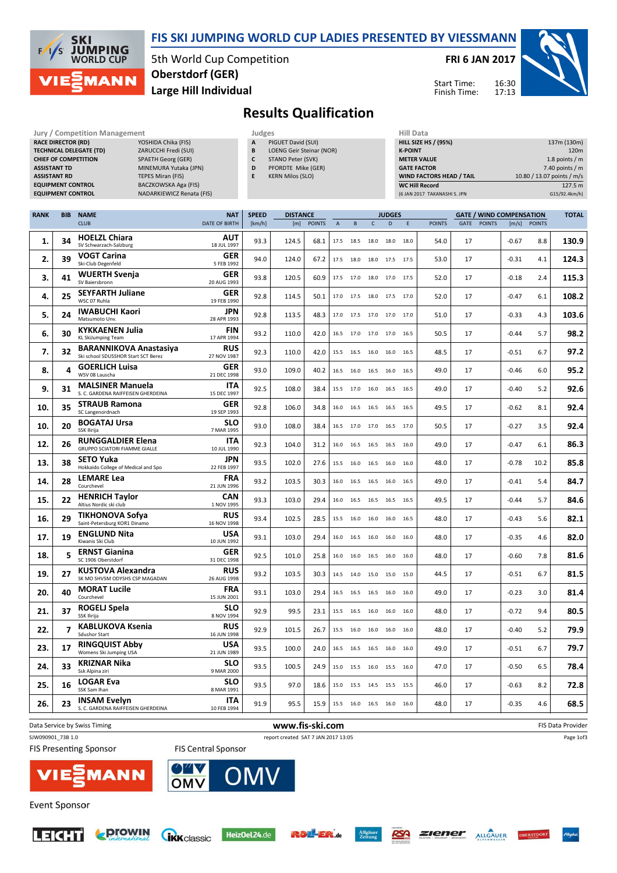

#### FIS SKI JUMPING WORLD CUP LADIES PRESENTED BY VIESSMANN

5th World Cup Competition Large Hill Individual Oberstdorf (GER)

FRI 6 JAN 2017

Start Time: Finish Time:



## Results Qualification

| Jury / Competition Management  |                           | Judges |                                 | Hill D        |
|--------------------------------|---------------------------|--------|---------------------------------|---------------|
| <b>RACE DIRECTOR (RD)</b>      | YOSHIDA Chika (FIS)       | A      | PIGUET David (SUI)              | <b>HILL S</b> |
| <b>TECHNICAL DELEGATE (TD)</b> | ZARUCCHI Fredi (SUI)      | B      | <b>LOENG Geir Steinar (NOR)</b> | K-POI         |
| <b>CHIEF OF COMPETITION</b>    | <b>SPAETH Georg (GER)</b> |        | STANO Peter (SVK)               | <b>METE</b>   |
| <b>ASSISTANT TD</b>            | MINEMURA Yutaka (JPN)     | D      | PFORDTE Mike (GER)              | <b>GATE</b>   |
| <b>ASSISTANT RD</b>            | <b>TEPES Miran (FIS)</b>  | E      | <b>KERN Milos (SLO)</b>         | <b>WIND</b>   |
| <b>EQUIPMENT CONTROL</b>       | BACZKOWSKA Aga (FIS)      |        |                                 | WC Hi         |
| <b>EQUIPMENT CONTROL</b>       | NADARKIEWICZ Renata (FIS) |        |                                 | $(6$ JAN      |

| JUURES |                       |
|--------|-----------------------|
| A      | PIGUET David (SUI)    |
| B      | LOENG Geir Steinar (I |
|        | $CTANO D_{2}$         |

- C STANO Peter (SVK)
- D PFORDTE Mike (GER) E KERN Milos (SLO)
	-

| Hiii Data                       |                            |
|---------------------------------|----------------------------|
| <b>HILL SIZE HS / (95%)</b>     | 137m (130m)                |
| <b>K-POINT</b>                  | 120 <sub>m</sub>           |
| <b>METER VALUE</b>              | 1.8 points $/m$            |
| <b>GATE FACTOR</b>              | 7.40 points $/m$           |
| <b>WIND FACTORS HEAD / TAIL</b> | 10.80 / 13.07 points / m/s |
| <b>WC Hill Record</b>           | 127.5 m                    |
| (6 JAN 2017 TAKANASHI S. JPN    | G15/92.4km/h)              |

| <b>RANK</b> | <b>BIB</b> | <b>NAME</b>                                                          | <b>NAT</b>                | <b>SPEED</b> | <b>DISTANCE</b> |               | <b>JUDGES</b>  |                     |              | <b>GATE / WIND COMPENSATION</b> |        |               |      |               | <b>TOTAL</b> |              |       |
|-------------|------------|----------------------------------------------------------------------|---------------------------|--------------|-----------------|---------------|----------------|---------------------|--------------|---------------------------------|--------|---------------|------|---------------|--------------|--------------|-------|
|             |            | <b>CLUB</b>                                                          | <b>DATE OF BIRTH</b>      | [km/h]       | [m]             | <b>POINTS</b> | $\overline{A}$ | B                   | $\mathsf{C}$ | D                               | E      | <b>POINTS</b> | GATE | <b>POINTS</b> |              | [m/s] POINTS |       |
| 1.          | 34         | <b>HOELZL Chiara</b><br>SV Schwarzach-Salzburg                       | AUT<br>18 JUL 1997        | 93.3         | 124.5           | 68.1          | 17.5           | 18.5                | 18.0         | 18.0                            | 18.0   | 54.0          | 17   |               | $-0.67$      | 8.8          | 130.9 |
| 2.          | 39         | <b>VOGT Carina</b><br>Ski-Club Degenfeld                             | <b>GER</b><br>5 FEB 1992  | 94.0         | 124.0           | 67.2          | 17.5           | 18.0                |              | 18.0 17.5                       | 17.5   | 53.0          | 17   |               | $-0.31$      | 4.1          | 124.3 |
| 3.          | 41         | <b>WUERTH Svenja</b><br>SV Baiersbronn                               | <b>GER</b><br>20 AUG 1993 | 93.8         | 120.5           | 60.9          | 17.5           | 17.0                | 18.0         | 17.0                            | 17.5   | 52.0          | 17   |               | $-0.18$      | 2.4          | 115.3 |
| 4.          | 25         | <b>SEYFARTH Juliane</b><br>WSC 07 Ruhla                              | <b>GER</b><br>19 FEB 1990 | 92.8         | 114.5           | 50.1          | 17.0           | 17.5                |              | 18.0 17.5 17.0                  |        | 52.0          | 17   |               | $-0.47$      | 6.1          | 108.2 |
| 5.          | 24         | <b>IWABUCHI Kaori</b><br>Matsumoto Unv.                              | <b>JPN</b><br>28 APR 1993 | 92.8         | 113.5           | 48.3          | 17.0           | 17.5                | 17.0         | 17.0                            | 17.0   | 51.0          | 17   |               | $-0.33$      | 4.3          | 103.6 |
| 6.          | 30         | <b>KYKKAENEN Julia</b><br><b>KL SkiJumping Team</b>                  | <b>FIN</b><br>17 APR 1994 | 93.2         | 110.0           | 42.0          | 16.5           | 17.0                | 17.0         | 17.0                            | 16.5   | 50.5          | 17   |               | $-0.44$      | 5.7          | 98.2  |
| 7.          | 32         | <b>BARANNIKOVA Anastasiya</b><br>Ski school SDUSSHOR Start SCT Berez | <b>RUS</b><br>27 NOV 1987 | 92.3         | 110.0           | 42.0          | 15.5           | 16.5                | 16.0         | 16.0                            | 16.5   | 48.5          | 17   |               | $-0.51$      | 6.7          | 97.2  |
| 8.          | 4          | <b>GOERLICH Luisa</b><br>WSV 08 Lauscha                              | GER<br>21 DEC 1998        | 93.0         | 109.0           | 40.2          | 16.5           | 16.0                |              | 16.5 16.0                       | 16.5   | 49.0          | 17   |               | $-0.46$      | 6.0          | 95.2  |
| 9.          | 31         | <b>MALSINER Manuela</b><br>S. C. GARDENA RAIFFEISEN GHERDEINA        | <b>ITA</b><br>15 DEC 1997 | 92.5         | 108.0           | 38.4          | 15.5           | 17.0                | 16.0         | 16.5                            | 16.5   | 49.0          | 17   |               | $-0.40$      | 5.2          | 92.6  |
| 10.         | 35         | <b>STRAUB Ramona</b><br>SC Langenordnach                             | <b>GER</b><br>19 SEP 1993 | 92.8         | 106.0           | 34.8          | 16.0           | 16.5                | 16.5         | 16.5                            | 16.5   | 49.5          | 17   |               | $-0.62$      | 8.1          | 92.4  |
| 10.         | 20         | <b>BOGATAJ Ursa</b><br>SSK Ilirija                                   | SLO<br>7 MAR 1995         | 93.0         | 108.0           | 38.4          | 16.5           | 17.0 17.0 16.5      |              |                                 | 17.0   | 50.5          | 17   |               | $-0.27$      | 3.5          | 92.4  |
| 12.         | 26         | <b>RUNGGALDIER Elena</b><br><b>GRUPPO SCIATORI FIAMME GIALLE</b>     | <b>ITA</b><br>10 JUL 1990 | 92.3         | 104.0           | 31.2          | 16.0           | 16.5                |              | 16.5 16.5                       | 16.0   | 49.0          | 17   |               | $-0.47$      | 6.1          | 86.3  |
| 13.         | 38         | <b>SETO Yuka</b><br>Hokkaido College of Medical and Spo              | <b>JPN</b><br>22 FEB 1997 | 93.5         | 102.0           | 27.6          | 15.5           | 16.0                | 16.5         | 16.0                            | 16.0   | 48.0          | 17   |               | $-0.78$      | 10.2         | 85.8  |
| 14.         | 28         | <b>LEMARE Lea</b><br>Courchevel                                      | FRA<br>21 JUN 1996        | 93.2         | 103.5           | 30.3          | 16.0           | 16.5                | 16.5         | 16.0                            | 16.5   | 49.0          | 17   |               | $-0.41$      | 5.4          | 84.7  |
| 15.         | 22         | <b>HENRICH Taylor</b><br>Altius Nordic ski club                      | <b>CAN</b><br>1 NOV 1995  | 93.3         | 103.0           | 29.4          | 16.0           | 16.5                |              | 16.5 16.5                       | 16.5   | 49.5          | 17   |               | $-0.44$      | 5.7          | 84.6  |
| 16.         | 29         | <b>TIKHONOVA Sofya</b><br>Saint-Petersburg KOR1 Dinamo               | <b>RUS</b><br>16 NOV 1998 | 93.4         | 102.5           | 28.5          | 15.5           | 16.0                | 16.0         | 16.0                            | - 16.5 | 48.0          | 17   |               | -0.43        | 5.6          | 82.1  |
| 17.         | 19         | <b>ENGLUND Nita</b><br>Kiwanis Ski Club                              | <b>USA</b><br>10 JUN 1992 | 93.1         | 103.0           | 29.4          | 16.0           | 16.5                | 16.0         | 16.0                            | 16.0   | 48.0          | 17   |               | $-0.35$      | 4.6          | 82.0  |
| 18.         | 5          | <b>ERNST Gianina</b><br>SC 1906 Oberstdorf                           | <b>GER</b><br>31 DEC 1998 | 92.5         | 101.0           | 25.8          | 16.0           | 16.0 16.5 16.0      |              |                                 | 16.0   | 48.0          | 17   |               | $-0.60$      | 7.8          | 81.6  |
| 19.         | 27         | KUSTOVA Alexandra<br>SK MO SHVSM ODYSHS CSP MAGADAN                  | <b>RUS</b><br>26 AUG 1998 | 93.2         | 103.5           | 30.3          | 14.5           | 14.0                |              | 15.0 15.0                       | 15.0   | 44.5          | 17   |               | $-0.51$      | 6.7          | 81.5  |
| 20.         | 40         | <b>MORAT Lucile</b><br>Courchevel                                    | FRA<br>15 JUN 2001        | 93.1         | 103.0           | 29.4          | 16.5           | 16.5                | 16.5         | 16.0                            | 16.0   | 49.0          | 17   |               | $-0.23$      | 3.0          | 81.4  |
| 21.         | 37         | ROGELJ Spela<br>SSK Ilirija                                          | <b>SLO</b><br>8 NOV 1994  | 92.9         | 99.5            | 23.1          | 15.5           | 16.5                | 16.0         | 16.0                            | 16.0   | 48.0          | 17   |               | $-0.72$      | 9.4          | 80.5  |
| 22.         | 7          | <b>KABLUKOVA Ksenia</b><br><b>Sdushor Start</b>                      | <b>RUS</b><br>16 JUN 1998 | 92.9         | 101.5           | 26.7          | 15.5           | 16.0                |              | 16.0 16.0                       | 16.0   | 48.0          | 17   |               | $-0.40$      | 5.2          | 79.9  |
| 23.         | 17         | <b>RINGQUIST Abby</b><br>Womens Ski Jumping USA                      | <b>USA</b><br>21 JUN 1989 | 93.5         | 100.0           | 24.0          | 16.5           | 16.5                | 16.5         | 16.0                            | 16.0   | 49.0          | 17   |               | $-0.51$      | 6.7          | 79.7  |
| 24.         | 33         | <b>KRIZNAR Nika</b><br>Ssk Alpina ziri                               | SLO<br>9 MAR 2000         | 93.5         | 100.5           | 24.9          | 15.0           | 15.5                | 16.0         | 15.5                            | 16.0   | 47.0          | 17   |               | $-0.50$      | 6.5          | 78.4  |
| 25.         | 16         | <b>LOGAR Eva</b><br>SSK Sam Ihan                                     | SLO<br>8 MAR 1991         | 93.5         | 97.0            | 18.6          | 15.0           |                     |              | 15.5 14.5 15.5 15.5             |        | 46.0          | 17   |               | $-0.63$      | 8.2          | 72.8  |
| 26.         | 23         | <b>INSAM Evelyn</b><br>S. C. GARDENA RAIFFEISEN GHERDEINA            | <b>ITA</b><br>10 FEB 1994 | 91.9         | 95.5            | 15.9          |                | 15.5 16.0 16.5 16.0 |              |                                 | 16.0   | 48.0          | 17   |               | $-0.35$      | 4.6          | 68.5  |
|             |            |                                                                      |                           |              |                 |               |                |                     |              |                                 |        |               |      |               |              |              |       |

#### Data Service by Swiss Timing **EXECUTE:** The Service by Swiss Timing The Data Provider SJW090901\_73B 1.0 report created SAT 7 JAN 2017 13:05 **FIS Presenting Sponsor FIS Central Sponsor**



OMV

**Event Sponsor** 







RSA



Page 1of3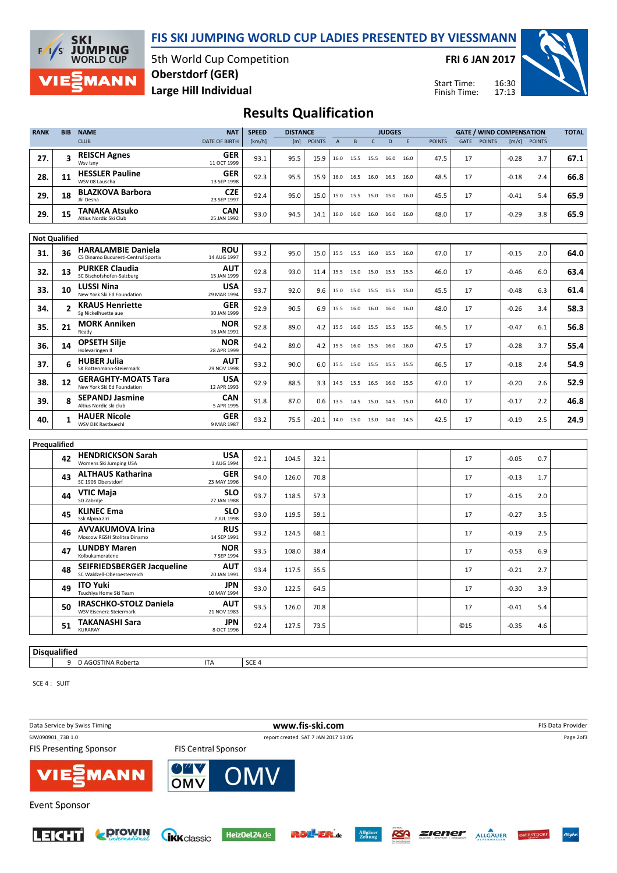FIS SKI JUMPING WORLD CUP LADIES PRESENTED BY VIESSMANN



5th World Cup Competition Large Hill Individual Oberstdorf (GER)

FRI 6 JAN 2017

Start Time: Finish Time:



### Results Qualification

| <b>RANK</b>  | <b>BIB</b>           | <b>NAME</b>                                                      | <b>NAT</b>                | <b>SPEED</b> | <b>DISTANCE</b> |               |                | <b>JUDGES</b> |              |                              |      |               | <b>GATE / WIND COMPENSATION</b> |               |         |               |      |
|--------------|----------------------|------------------------------------------------------------------|---------------------------|--------------|-----------------|---------------|----------------|---------------|--------------|------------------------------|------|---------------|---------------------------------|---------------|---------|---------------|------|
|              |                      | <b>CLUB</b>                                                      | <b>DATE OF BIRTH</b>      | [km/h]       | [m]             | <b>POINTS</b> | $\overline{A}$ | B             | $\mathsf{C}$ | D                            | F    | <b>POINTS</b> | GATE                            | <b>POINTS</b> | [m/s]   | <b>POINTS</b> |      |
| 27.          | 3                    | <b>REISCH Agnes</b><br>Wsv Isnv                                  | <b>GER</b><br>11 OCT 1999 | 93.1         | 95.5            | 15.9          | 16.0           | 15.5          | 15.5         | 16.0                         | 16.0 | 47.5          | 17                              |               | $-0.28$ | 3.7           | 67.1 |
| 28.          | 11                   | <b>HESSLER Pauline</b><br>WSV 08 Lauscha                         | GER<br>13 SEP 1998        | 92.3         | 95.5            | 15.9          |                |               |              | 16.0 16.5 16.0 16.5 16.0     |      | 48.5          | 17                              |               | $-0.18$ | 2.4           | 66.8 |
| 29.          | 18                   | <b>BLAZKOVA Barbora</b><br>Jkl Desna                             | <b>CZE</b><br>23 SEP 1997 | 92.4         | 95.0            | 15.0          | 15.0           | 15.5          |              | 15.0 15.0 16.0               |      | 45.5          | 17                              |               | $-0.41$ | 5.4           | 65.9 |
| 29.          | 15                   | <b>TANAKA Atsuko</b><br>Altius Nordic Ski Club                   | <b>CAN</b><br>25 JAN 1992 | 93.0         | 94.5            | 14.1          | 16.0           | 16.0 16.0     |              | 16.0                         | 16.0 | 48.0          | 17                              |               | $-0.29$ | 3.8           | 65.9 |
|              | <b>Not Qualified</b> |                                                                  |                           |              |                 |               |                |               |              |                              |      |               |                                 |               |         |               |      |
|              |                      | <b>HARALAMBIE Daniela</b>                                        | <b>ROU</b>                |              |                 |               |                |               |              |                              |      |               |                                 |               |         |               |      |
| 31.          | 36                   | CS Dinamo Bucuresti-Centrul Sportiv<br><b>PURKER Claudia</b>     | 14 AUG 1997<br><b>AUT</b> | 93.2         | 95.0            | 15.0          |                |               |              | 15.5 15.5 16.0 15.5 16.0     |      | 47.0          | 17                              |               | $-0.15$ | 2.0           | 64.0 |
| 32.          | 13                   | SC Bischofshofen-Salzburg                                        | 15 JAN 1999               | 92.8         | 93.0            | 11.4          | 15.5           | 15.0          |              | 15.0 15.5 15.5               |      | 46.0          | 17                              |               | $-0.46$ | 6.0           | 63.4 |
| 33.          | 10                   | <b>LUSSI Nina</b><br>New York Ski Ed Foundation                  | <b>USA</b><br>29 MAR 1994 | 93.7         | 92.0            | 9.6           | 15.0           | 15.0          | 15.5         | 15.5 15.0                    |      | 45.5          | 17                              |               | $-0.48$ | 6.3           | 61.4 |
| 34.          | $\overline{2}$       | <b>KRAUS Henriette</b><br>Sg Nickelhuette aue                    | GER<br>30 JAN 1999        | 92.9         | 90.5            | 6.9           |                | 15.5 16.0     |              | 16.0 16.0 16.0               |      | 48.0          | 17                              |               | $-0.26$ | 3.4           | 58.3 |
| 35.          | 21                   | <b>MORK Anniken</b><br>Ready                                     | <b>NOR</b><br>16 JAN 1991 | 92.8         | 89.0            | 4.2           |                | 15.5 16.0     |              | 15.5 15.5 15.5               |      | 46.5          | 17                              |               | $-0.47$ | 6.1           | 56.8 |
| 36.          | 14                   | <b>OPSETH Silje</b><br>Holevaringen Il                           | <b>NOR</b><br>28 APR 1999 | 94.2         | 89.0            | 4.2           | 15.5           | 16.0          | 15.5 16.0    |                              | 16.0 | 47.5          | 17                              |               | $-0.28$ | 3.7           | 55.4 |
| 37.          | 6                    | <b>HUBER Julia</b><br>SK Rottenmann-Steiermark                   | <b>AUT</b><br>29 NOV 1998 | 93.2         | 90.0            | 6.0           |                |               |              | 15.5 15.0 15.5 15.5 15.5     |      | 46.5          | 17                              |               | $-0.18$ | 2.4           | 54.9 |
| 38.          | 12                   | <b>GERAGHTY-MOATS Tara</b><br>New York Ski Ed Foundation         | <b>USA</b><br>12 APR 1993 | 92.9         | 88.5            | 3.3           | 14.5           | 15.5          | 16.5         | 16.0                         | 15.5 | 47.0          | 17                              |               | $-0.20$ | 2.6           | 52.9 |
| 39.          | 8                    | <b>SEPANDJ Jasmine</b><br>Altius Nordic ski club                 | <b>CAN</b><br>5 APR 1995  | 91.8         | 87.0            | 0.6           | 13.5           | 14.5          | 15.0         | 14.5                         | 15.0 | 44.0          | 17                              |               | $-0.17$ | 2.2           | 46.8 |
| 40.          | 1                    | <b>HAUER Nicole</b><br>WSV DJK Rastbuechl                        | GER<br>9 MAR 1987         | 93.2         | 75.5            | $-20.1$       |                |               |              | 14.0  15.0  13.0  14.0  14.5 |      | 42.5          | 17                              |               | $-0.19$ | 2.5           | 24.9 |
|              |                      |                                                                  |                           |              |                 |               |                |               |              |                              |      |               |                                 |               |         |               |      |
| Prequalified | 42                   | <b>HENDRICKSON Sarah</b><br>Womens Ski Jumping USA               | <b>USA</b><br>1 AUG 1994  | 92.1         | 104.5           | 32.1          |                |               |              |                              |      |               | 17                              |               | $-0.05$ | 0.7           |      |
|              | 43                   | <b>ALTHAUS Katharina</b><br>SC 1906 Oberstdorf                   | GER<br>23 MAY 1996        | 94.0         | 126.0           | 70.8          |                |               |              |                              |      |               | 17                              |               | $-0.13$ | 1.7           |      |
|              | 44                   | <b>VTIC Maja</b><br>SD Zabrdje                                   | <b>SLO</b><br>27 JAN 1988 | 93.7         | 118.5           | 57.3          |                |               |              |                              |      |               | 17                              |               | $-0.15$ | 2.0           |      |
|              | 45                   | <b>KLINEC Ema</b><br>Ssk Alpina ziri                             | <b>SLO</b><br>2 JUL 1998  | 93.0         | 119.5           | 59.1          |                |               |              |                              |      |               | 17                              |               | $-0.27$ | 3.5           |      |
|              | 46                   | <b>AVVAKUMOVA Irina</b><br>Moscow RGSH Stolitsa Dinamo           | <b>RUS</b><br>14 SEP 1991 | 93.2         | 124.5           | 68.1          |                |               |              |                              |      |               | 17                              |               | $-0.19$ | 2.5           |      |
|              | 47                   | <b>LUNDBY Maren</b><br>Kolbukameratene                           | <b>NOR</b><br>7 SEP 1994  | 93.5         | 108.0           | 38.4          |                |               |              |                              |      |               | 17                              |               | $-0.53$ | 6.9           |      |
|              | 48                   | <b>SEIFRIEDSBERGER Jacqueline</b><br>SC Waldzell-Oberoesterreich | <b>AUT</b><br>20 JAN 1991 | 93.4         | 117.5           | 55.5          |                |               |              |                              |      |               | 17                              |               | $-0.21$ | 2.7           |      |
|              | 49                   | <b>ITO Yuki</b><br>Tsuchiya Home Ski Team                        | <b>JPN</b><br>10 MAY 1994 | 93.0         | 122.5           | 64.5          |                |               |              |                              |      |               | 17                              |               | $-0.30$ | 3.9           |      |
|              | 50                   | <b>IRASCHKO-STOLZ Daniela</b><br>WSV Eisenerz-Steiermark         | <b>AUT</b><br>21 NOV 1983 | 93.5         | 126.0           | 70.8          |                |               |              |                              |      |               | 17                              |               | $-0.41$ | 5.4           |      |
|              | 51                   | <b>TAKANASHI Sara</b><br>KURARAY                                 | JPN<br>8 OCT 1996         | 92.4         | 127.5           | 73.5          |                |               |              |                              |      |               | <b>©15</b>                      |               | $-0.35$ | 4.6           |      |
|              |                      |                                                                  |                           |              |                 |               |                |               |              |                              |      |               |                                 |               |         |               |      |

#### **Disqualified**

9 D AGOSTINA Roberta ITA ITA SCE 4

SCE 4 : SUIT